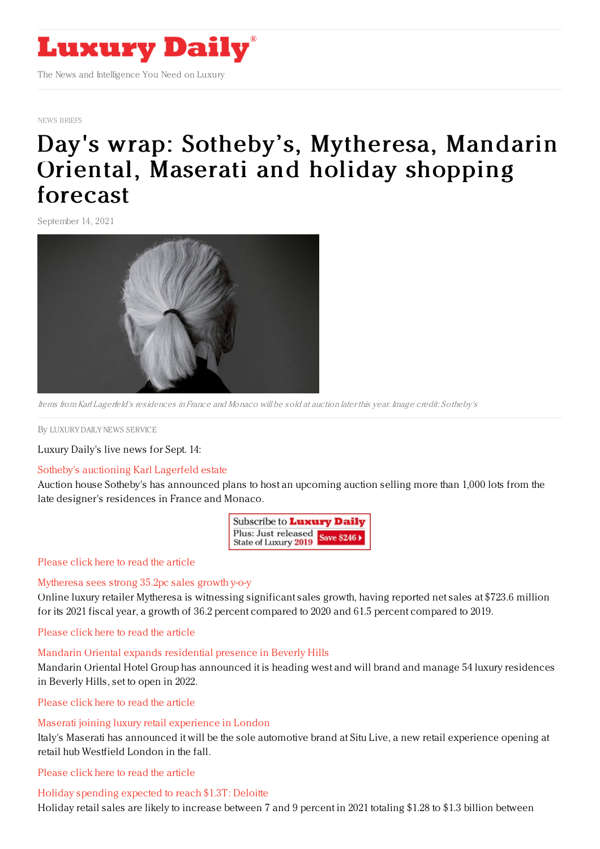

NEWS [BRIEFS](https://www.luxurydaily.com/category/resources/news-briefs)

# Day's wrap: Sotheby 's, [Mytheresa,](https://www.luxurydaily.com/days-wrap-maserati-sothebys-mytheresa-mandarin-oriental-and-holiday-shopping-forecast/) Mandarin Oriental, Maserati and holiday shopping forecast

September 14, 2021



Items from Karl Lagerfeld's residences in France and Monaco will be sold at auction later this year. Image credit: Sotheby's

By LUXURY DAILY NEWS [SERVICE](file:///author/luxury-daily-news-service)

Luxury Daily's live news for Sept. 14:

#### Sotheby's [auctioning](https://www.luxurydaily.com/sothebys-auctioning-karl-lagerfeld-estate/) Karl Lagerfeld estate

Auction house Sotheby's has announced plans to host an upcoming auction selling more than 1,000 lots from the late designer's residences in France and Monaco.



#### [Please](https://www.luxurydaily.com/sothebys-auctioning-karl-lagerfeld-estate/) click here to read the article

#### [Mytheresa](https://www.luxurydaily.com/mytheresa-fiscal-year-2021-results/) sees strong 35.2pc sales growth y-o-y

Online luxury retailer Mytheresa is witnessing significant sales growth, having reported net sales at \$723.6 million for its 2021 fiscal year, a growth of 36.2 percent compared to 2020 and 61.5 percent compared to 2019.

[Please](https://www.luxurydaily.com/mytheresa-fiscal-year-2021-results/) click here to read the article

#### Mandarin Oriental expands [residential](https://www.luxurydaily.com/mandarin-oriental-beverly-hills-residences/) presence in Beverly Hills

Mandarin Oriental Hotel Group has announced it is heading west and will brand and manage 54 luxury residences in Beverly Hills, set to open in 2022.

[Please](https://www.luxurydaily.com/mandarin-oriental-beverly-hills-residences/) click here to read the article

## Maserati joining luxury retail [experience](https://www.luxurydaily.com/maserati-joining-luxury-retail-experience-in-london/) in London

Italy's Maserati has announced it will be the sole automotive brand at Situ Live, a new retail experience opening at retail hub Westfield London in the fall.

[Please](https://www.luxurydaily.com/maserati-joining-luxury-retail-experience-in-london/) click here to read the article

## Holiday [spending](https://www.luxurydaily.com/deloitte-holiday-retail-forecast-2021/) expected to reach \$1.3T: Deloitte

Holiday retail sales are likely to increase between 7 and 9 percent in 2021 totaling \$1.28 to \$1.3 billion between